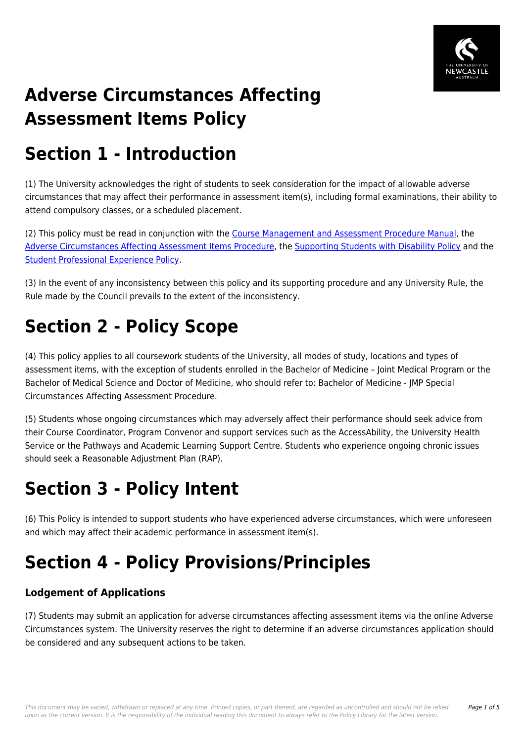

# **Adverse Circumstances Affecting Assessment Items Policy**

## **Section 1 - Introduction**

(1) The University acknowledges the right of students to seek consideration for the impact of allowable adverse circumstances that may affect their performance in assessment item(s), including formal examinations, their ability to attend compulsory classes, or a scheduled placement.

(2) This policy must be read in conjunction with the [Course Management and Assessment Procedure Manual,](https://policies.newcastle.edu.au/document/view-current.php?id=183) the [Adverse Circumstances Affecting Assessment Items Procedure](https://policies.newcastle.edu.au/document/view-current.php?id=236), the [Supporting Students with Disability Policy](https://policies.newcastle.edu.au/document/view-current.php?id=27) and the [Student Professional Experience Policy](https://policies.newcastle.edu.au/document/view-current.php?id=30).

(3) In the event of any inconsistency between this policy and its supporting procedure and any University Rule, the Rule made by the Council prevails to the extent of the inconsistency.

# **Section 2 - Policy Scope**

(4) This policy applies to all coursework students of the University, all modes of study, locations and types of assessment items, with the exception of students enrolled in the Bachelor of Medicine – Joint Medical Program or the Bachelor of Medical Science and Doctor of Medicine, who should refer to: Bachelor of Medicine - JMP Special Circumstances Affecting Assessment Procedure.

(5) Students whose ongoing circumstances which may adversely affect their performance should seek advice from their Course Coordinator, Program Convenor and support services such as the AccessAbility, the University Health Service or the Pathways and Academic Learning Support Centre. Students who experience ongoing chronic issues should seek a Reasonable Adjustment Plan (RAP).

## **Section 3 - Policy Intent**

(6) This Policy is intended to support students who have experienced adverse circumstances, which were unforeseen and which may affect their academic performance in assessment item(s).

### **Section 4 - Policy Provisions/Principles**

### **Lodgement of Applications**

(7) Students may submit an application for adverse circumstances affecting assessment items via the online Adverse Circumstances system. The University reserves the right to determine if an adverse circumstances application should be considered and any subsequent actions to be taken.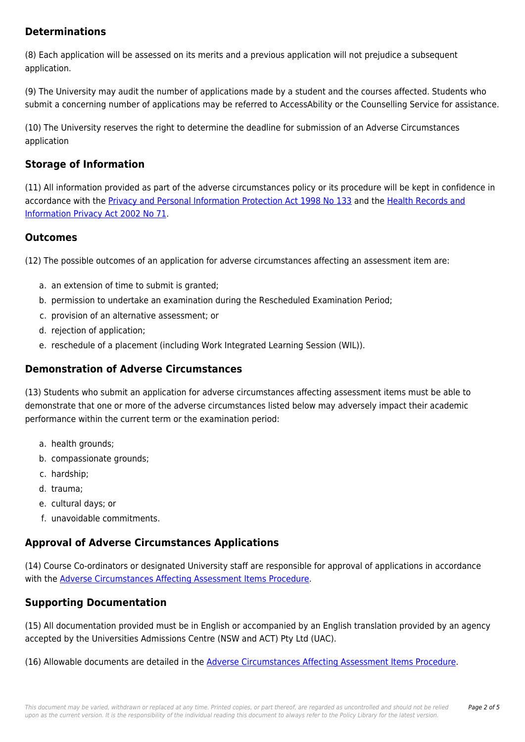#### **Determinations**

(8) Each application will be assessed on its merits and a previous application will not prejudice a subsequent application.

(9) The University may audit the number of applications made by a student and the courses affected. Students who submit a concerning number of applications may be referred to AccessAbility or the Counselling Service for assistance.

(10) The University reserves the right to determine the deadline for submission of an Adverse Circumstances application

### **Storage of Information**

(11) All information provided as part of the adverse circumstances policy or its procedure will be kept in confidence in accordance with the [Privacy and Personal Information Protection Act 1998 No 133](https://policies.newcastle.edu.au/directory-summary.php?legislation=83) and the [Health Records and](https://policies.newcastle.edu.au/directory-summary.php?legislation=24) [Information Privacy Act 2002 No 71.](https://policies.newcastle.edu.au/directory-summary.php?legislation=24)

#### **Outcomes**

(12) The possible outcomes of an application for adverse circumstances affecting an assessment item are:

- a. an extension of time to submit is granted;
- b. permission to undertake an examination during the Rescheduled Examination Period;
- c. provision of an alternative assessment; or
- d. rejection of application;
- e. reschedule of a placement (including Work Integrated Learning Session (WIL)).

### **Demonstration of Adverse Circumstances**

(13) Students who submit an application for adverse circumstances affecting assessment items must be able to demonstrate that one or more of the adverse circumstances listed below may adversely impact their academic performance within the current term or the examination period:

- a. health grounds;
- b. compassionate grounds;
- c. hardship;
- d. trauma;
- e. cultural days; or
- f. unavoidable commitments.

#### **Approval of Adverse Circumstances Applications**

(14) Course Co-ordinators or designated University staff are responsible for approval of applications in accordance with the [Adverse Circumstances Affecting Assessment Items Procedure.](https://policies.newcastle.edu.au/document/view-current.php?id=236)

#### **Supporting Documentation**

(15) All documentation provided must be in English or accompanied by an English translation provided by an agency accepted by the Universities Admissions Centre (NSW and ACT) Pty Ltd (UAC).

(16) Allowable documents are detailed in the [Adverse Circumstances Affecting Assessment Items Procedure](https://policies.newcastle.edu.au/document/view-current.php?id=236).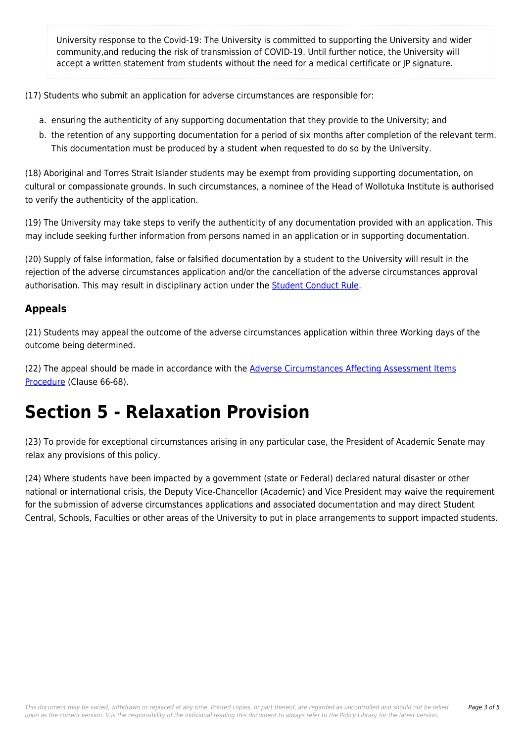University response to the Covid-19: The University is committed to supporting the University and wider community,and reducing the risk of transmission of COVID-19. Until further notice, the University will accept a written statement from students without the need for a medical certificate or JP signature.

(17) Students who submit an application for adverse circumstances are responsible for:

- a. ensuring the authenticity of any supporting documentation that they provide to the University; and
- b. the retention of any supporting documentation for a period of six months after completion of the relevant term. This documentation must be produced by a student when requested to do so by the University.

(18) Aboriginal and Torres Strait Islander students may be exempt from providing supporting documentation, on cultural or compassionate grounds. In such circumstances, a nominee of the Head of Wollotuka Institute is authorised to verify the authenticity of the application.

(19) The University may take steps to verify the authenticity of any documentation provided with an application. This may include seeking further information from persons named in an application or in supporting documentation.

(20) Supply of false information, false or falsified documentation by a student to the University will result in the rejection of the adverse circumstances application and/or the cancellation of the adverse circumstances approval authorisation. This may result in disciplinary action under the **Student Conduct Rule**.

### **Appeals**

(21) Students may appeal the outcome of the adverse circumstances application within three Working days of the outcome being determined.

(22) The appeal should be made in accordance with the [Adverse Circumstances Affecting Assessment Items](https://policies.newcastle.edu.au/document/view-current.php?id=236) [Procedure](https://policies.newcastle.edu.au/document/view-current.php?id=236) (Clause 66-68).

### **Section 5 - Relaxation Provision**

(23) To provide for exceptional circumstances arising in any particular case, the President of Academic Senate may relax any provisions of this policy.

(24) Where students have been impacted by a government (state or Federal) declared natural disaster or other national or international crisis, the Deputy Vice-Chancellor (Academic) and Vice President may waive the requirement for the submission of adverse circumstances applications and associated documentation and may direct Student Central, Schools, Faculties or other areas of the University to put in place arrangements to support impacted students.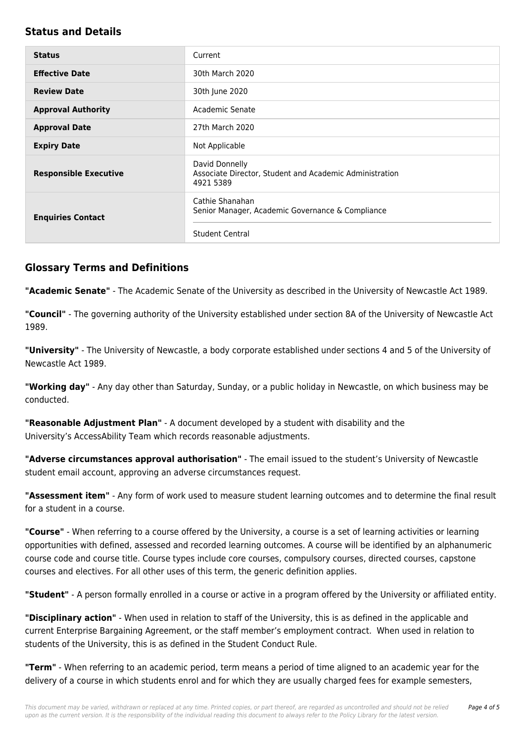#### **Status and Details**

| <b>Status</b>                | Current                                                                                |
|------------------------------|----------------------------------------------------------------------------------------|
| <b>Effective Date</b>        | 30th March 2020                                                                        |
| <b>Review Date</b>           | 30th June 2020                                                                         |
| <b>Approval Authority</b>    | Academic Senate                                                                        |
| <b>Approval Date</b>         | 27th March 2020                                                                        |
| <b>Expiry Date</b>           | Not Applicable                                                                         |
| <b>Responsible Executive</b> | David Donnelly<br>Associate Director, Student and Academic Administration<br>4921 5389 |
| <b>Enquiries Contact</b>     | Cathie Shanahan<br>Senior Manager, Academic Governance & Compliance                    |
|                              | <b>Student Central</b>                                                                 |

#### **Glossary Terms and Definitions**

**"Academic Senate"** - The Academic Senate of the University as described in the University of Newcastle Act 1989.

**"Council"** - The governing authority of the University established under section 8A of the University of Newcastle Act 1989.

**"University"** - The University of Newcastle, a body corporate established under sections 4 and 5 of the University of Newcastle Act 1989.

**"Working day"** - Any day other than Saturday, Sunday, or a public holiday in Newcastle, on which business may be conducted.

**"Reasonable Adjustment Plan"** - A document developed by a student with disability and the University's AccessAbility Team which records reasonable adjustments.

**"Adverse circumstances approval authorisation"** - The email issued to the student's University of Newcastle student email account, approving an adverse circumstances request.

**"Assessment item"** - Any form of work used to measure student learning outcomes and to determine the final result for a student in a course.

**"Course"** - When referring to a course offered by the University, a course is a set of learning activities or learning opportunities with defined, assessed and recorded learning outcomes. A course will be identified by an alphanumeric course code and course title. Course types include core courses, compulsory courses, directed courses, capstone courses and electives. For all other uses of this term, the generic definition applies.

**"Student"** - A person formally enrolled in a course or active in a program offered by the University or affiliated entity.

**"Disciplinary action"** - When used in relation to staff of the University, this is as defined in the applicable and current Enterprise Bargaining Agreement, or the staff member's employment contract. When used in relation to students of the University, this is as defined in the Student Conduct Rule.

**"Term"** - When referring to an academic period, term means a period of time aligned to an academic year for the delivery of a course in which students enrol and for which they are usually charged fees for example semesters,